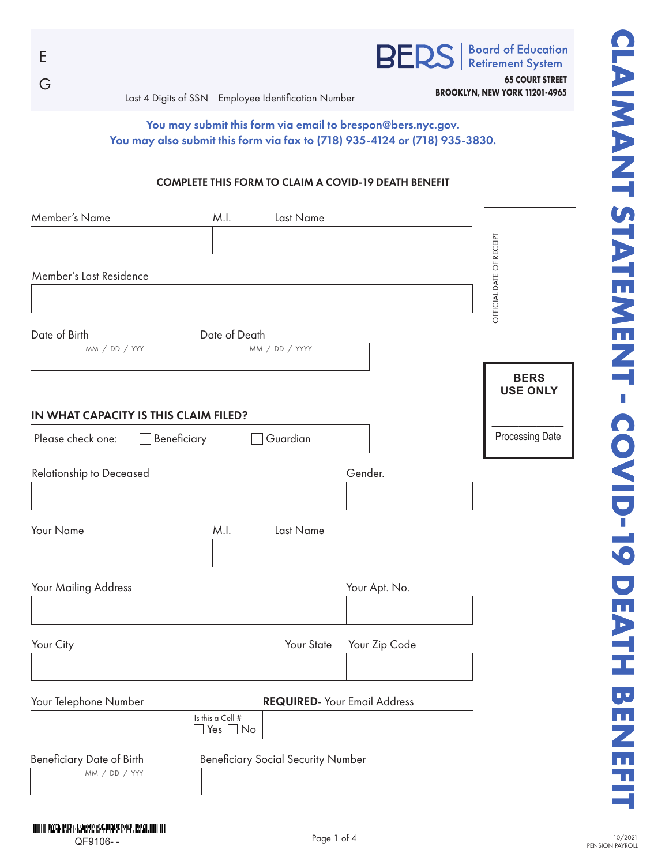|                                                     | <b>BERS</b>   Board of Education                               |
|-----------------------------------------------------|----------------------------------------------------------------|
| Last 4 Digits of SSN Employee Identification Number | <b>65 COURT STREET</b><br><b>BROOKLYN, NEW YORK 11201-4965</b> |

# You may submit this form via email to brespon@bers.nyc.gov. You may also submit this form via fax to (718) 935-4124 or (718) 935-3830.

#### COMPLETE THIS FORM TO CLAIM A COVID-19 DEATH BENEFIT

| Member's Name                         | M.I.                              | Last Name                                 |                                      |                          |
|---------------------------------------|-----------------------------------|-------------------------------------------|--------------------------------------|--------------------------|
|                                       |                                   |                                           |                                      |                          |
|                                       |                                   |                                           |                                      | OFFICIAL DATE OF RECEIPT |
|                                       |                                   |                                           |                                      |                          |
| Member's Last Residence               |                                   |                                           |                                      |                          |
|                                       |                                   |                                           |                                      |                          |
|                                       |                                   |                                           |                                      |                          |
| Date of Birth                         | Date of Death                     |                                           |                                      |                          |
| MM / DD / YYY                         |                                   | MM / DD / YYYY                            |                                      |                          |
|                                       |                                   |                                           |                                      |                          |
|                                       |                                   |                                           |                                      | <b>BERS</b>              |
|                                       |                                   |                                           |                                      | <b>USE ONLY</b>          |
| IN WHAT CAPACITY IS THIS CLAIM FILED? |                                   |                                           |                                      |                          |
|                                       |                                   |                                           |                                      | Processing Date          |
| Please check one:<br>Beneficiary      |                                   | Guardian                                  |                                      |                          |
|                                       |                                   |                                           |                                      |                          |
| Relationship to Deceased              |                                   |                                           | Gender.                              |                          |
|                                       |                                   |                                           |                                      |                          |
|                                       |                                   |                                           |                                      |                          |
| Your Name                             | M.I.                              | Last Name                                 |                                      |                          |
|                                       |                                   |                                           |                                      |                          |
|                                       |                                   |                                           |                                      |                          |
|                                       |                                   |                                           |                                      |                          |
| Your Mailing Address                  |                                   |                                           | Your Apt. No.                        |                          |
|                                       |                                   |                                           |                                      |                          |
|                                       |                                   |                                           |                                      |                          |
| Your City                             |                                   | Your State                                | Your Zip Code                        |                          |
|                                       |                                   |                                           |                                      |                          |
|                                       |                                   |                                           |                                      |                          |
|                                       |                                   |                                           |                                      |                          |
| Your Telephone Number                 |                                   |                                           | <b>REQUIRED</b> - Your Email Address |                          |
|                                       | Is this a Cell #<br>Yes $\Box$ No |                                           |                                      |                          |
|                                       |                                   |                                           |                                      |                          |
| <b>Beneficiary Date of Birth</b>      |                                   | <b>Beneficiary Social Security Number</b> |                                      |                          |
| MM / DD / YYY                         |                                   |                                           |                                      |                          |
|                                       |                                   |                                           |                                      |                          |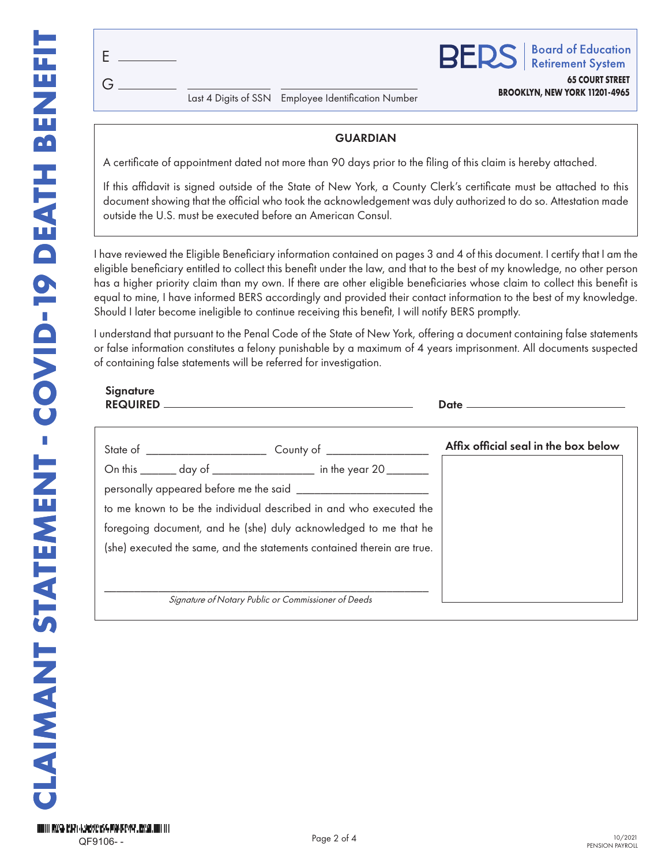G E

**BROOKLYN, NEW YORK 11201-4965** Last 4 Digits of SSN Employee Identification Number

### **GUARDIAN**

A certificate of appointment dated not more than 90 days prior to the filing of this claim is hereby attached.

If this affidavit is signed outside of the State of New York, a County Clerk's certificate must be attached to this document showing that the official who took the acknowledgement was duly authorized to do so. Attestation made outside the U.S. must be executed before an American Consul.

I have reviewed the Eligible Beneficiary information contained on pages 3 and 4 of this document. I certify that I am the eligible beneficiary entitled to collect this benefit under the law, and that to the best of my knowledge, no other person has a higher priority claim than my own. If there are other eligible beneficiaries whose claim to collect this benefit is equal to mine, I have informed BERS accordingly and provided their contact information to the best of my knowledge. Should I later become ineligible to continue receiving this benefit, I will notify BERS promptly.

I understand that pursuant to the Penal Code of the State of New York, offering a document containing false statements or false information constitutes a felony punishable by a maximum of 4 years imprisonment. All documents suspected of containing false statements will be referred for investigation.

| Affix official seal in the box below |  |
|--------------------------------------|--|
|                                      |  |
|                                      |  |
|                                      |  |
|                                      |  |
|                                      |  |
|                                      |  |
|                                      |  |
|                                      |  |

**65 COURT STREET**

**Board of Education** 

**Retirement System** 

**BED**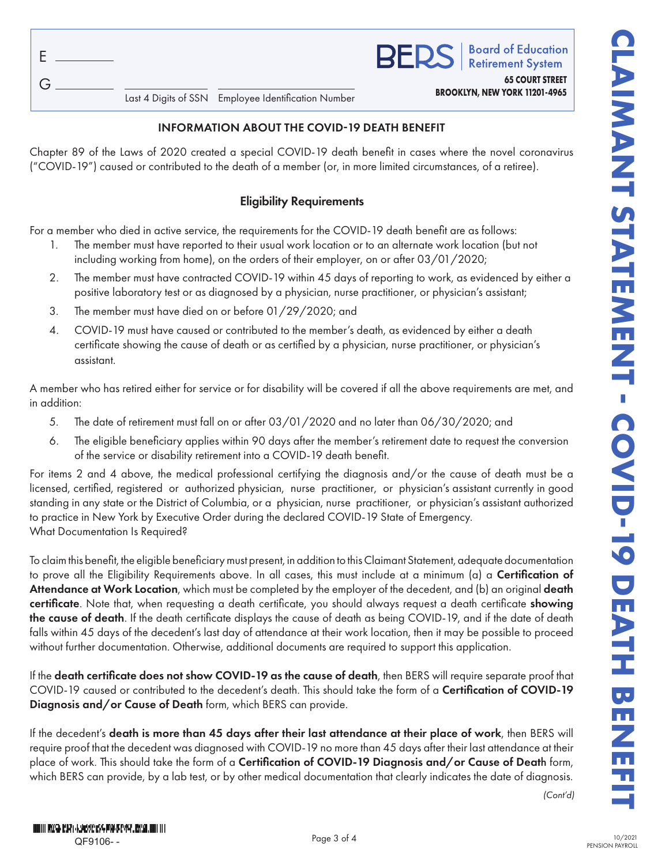| F |                          |  |
|---|--------------------------|--|
| G | Last 4 Digits of SSN Emp |  |

# **BROOKLYN, NEW YORK 11201-4965** Last 4 Digits of SSN Employee Identification Number

### INFORMATION ABOUT THE COVID-19 DEATH BENEFIT

Chapter 89 of the Laws of 2020 created a special COVID-19 death benefit in cases where the novel coronavirus ("COVID-19") caused or contributed to the death of a member (or, in more limited circumstances, of a retiree).

# Eligibility Requirements

For a member who died in active service, the requirements for the COVID-19 death benefit are as follows:

- 1. The member must have reported to their usual work location or to an alternate work location (but not including working from home), on the orders of their employer, on or after 03/01/2020;
- 2. The member must have contracted COVID-19 within 45 days of reporting to work, as evidenced by either a positive laboratory test or as diagnosed by a physician, nurse practitioner, or physician's assistant;
- 3. The member must have died on or before 01/29/2020; and
- 4. COVID-19 must have caused or contributed to the member's death, as evidenced by either a death certificate showing the cause of death or as certified by a physician, nurse practitioner, or physician's assistant.

A member who has retired either for service or for disability will be covered if all the above requirements are met, and in addition:

- 5. The date of retirement must fall on or after 03/01/2020 and no later than 06/30/2020; and
- 6. The eligible beneficiary applies within 90 days after the member's retirement date to request the conversion of the service or disability retirement into a COVID-19 death benefit.

For items 2 and 4 above, the medical professional certifying the diagnosis and/or the cause of death must be a licensed, certified, registered or authorized physician, nurse practitioner, or physician's assistant currently in good standing in any state or the District of Columbia, or a physician, nurse practitioner, or physician's assistant authorized to practice in New York by Executive Order during the declared COVID-19 State of Emergency. What Documentation Is Required?

To claim this benefit, the eligible beneficiary must present, in addition to this Claimant Statement, adequate documentation to prove all the Eligibility Requirements above. In all cases, this must include at a minimum (a) a **Certification of** Attendance at Work Location, which must be completed by the employer of the decedent, and (b) an original death certificate. Note that, when requesting a death certificate, you should always request a death certificate showing the cause of death. If the death certificate displays the cause of death as being COVID-19, and if the date of death falls within 45 days of the decedent's last day of attendance at their work location, then it may be possible to proceed without further documentation. Otherwise, additional documents are required to support this application.

If the death certificate does not show COVID-19 as the cause of death, then BERS will require separate proof that COVID-19 caused or contributed to the decedent's death. This should take the form of a Certification of COVID-19 Diagnosis and/or Cause of Death form, which BERS can provide.

If the decedent's death is more than 45 days after their last attendance at their place of work, then BERS will require proof that the decedent was diagnosed with COVID-19 no more than 45 days after their last attendance at their place of work. This should take the form of a Certification of COVID-19 Diagnosis and/or Cause of Death form, which BERS can provide, by a lab test, or by other medical documentation that clearly indicates the date of diagnosis.

*(Cont'd)*